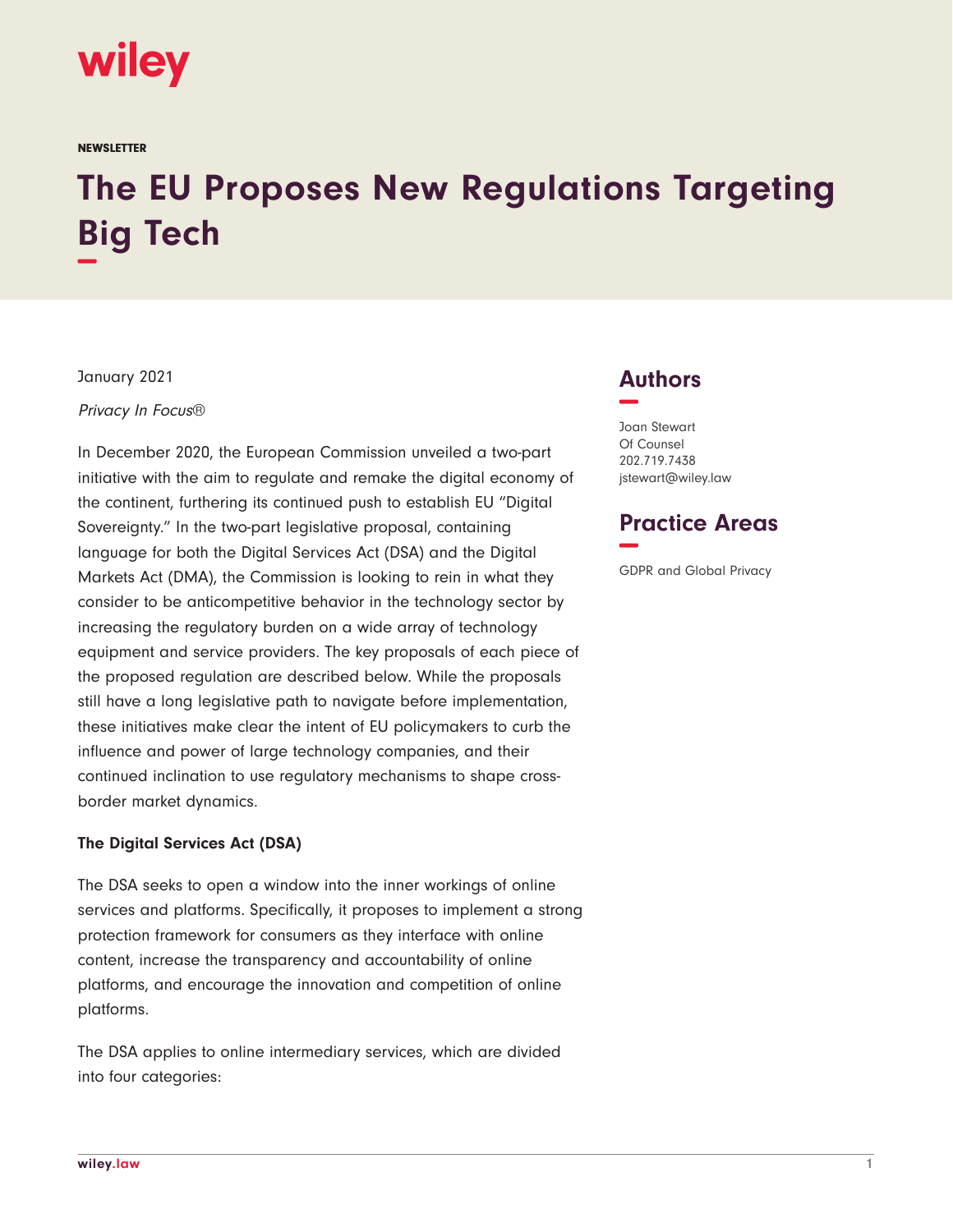

**NEWSLETTER** 

# **The EU Proposes New Regulations Targeting Big Tech −**

January 2021

Privacy In Focus®

In December 2020, the European Commission unveiled a two-part initiative with the aim to regulate and remake the digital economy of the continent, furthering its continued push to establish EU "Digital Sovereignty." In the two-part legislative proposal, containing language for both the Digital Services Act (DSA) and the Digital Markets Act (DMA), the Commission is looking to rein in what they consider to be anticompetitive behavior in the technology sector by increasing the regulatory burden on a wide array of technology equipment and service providers. The key proposals of each piece of the proposed regulation are described below. While the proposals still have a long legislative path to navigate before implementation, these initiatives make clear the intent of EU policymakers to curb the influence and power of large technology companies, and their continued inclination to use regulatory mechanisms to shape crossborder market dynamics.

#### **The Digital Services Act (DSA)**

The DSA seeks to open a window into the inner workings of online services and platforms. Specifically, it proposes to implement a strong protection framework for consumers as they interface with online content, increase the transparency and accountability of online platforms, and encourage the innovation and competition of online platforms.

The DSA applies to online intermediary services, which are divided into four categories:

## **Authors −**

Joan Stewart Of Counsel 202.719.7438 jstewart@wiley.law

### **Practice Areas −**

GDPR and Global Privacy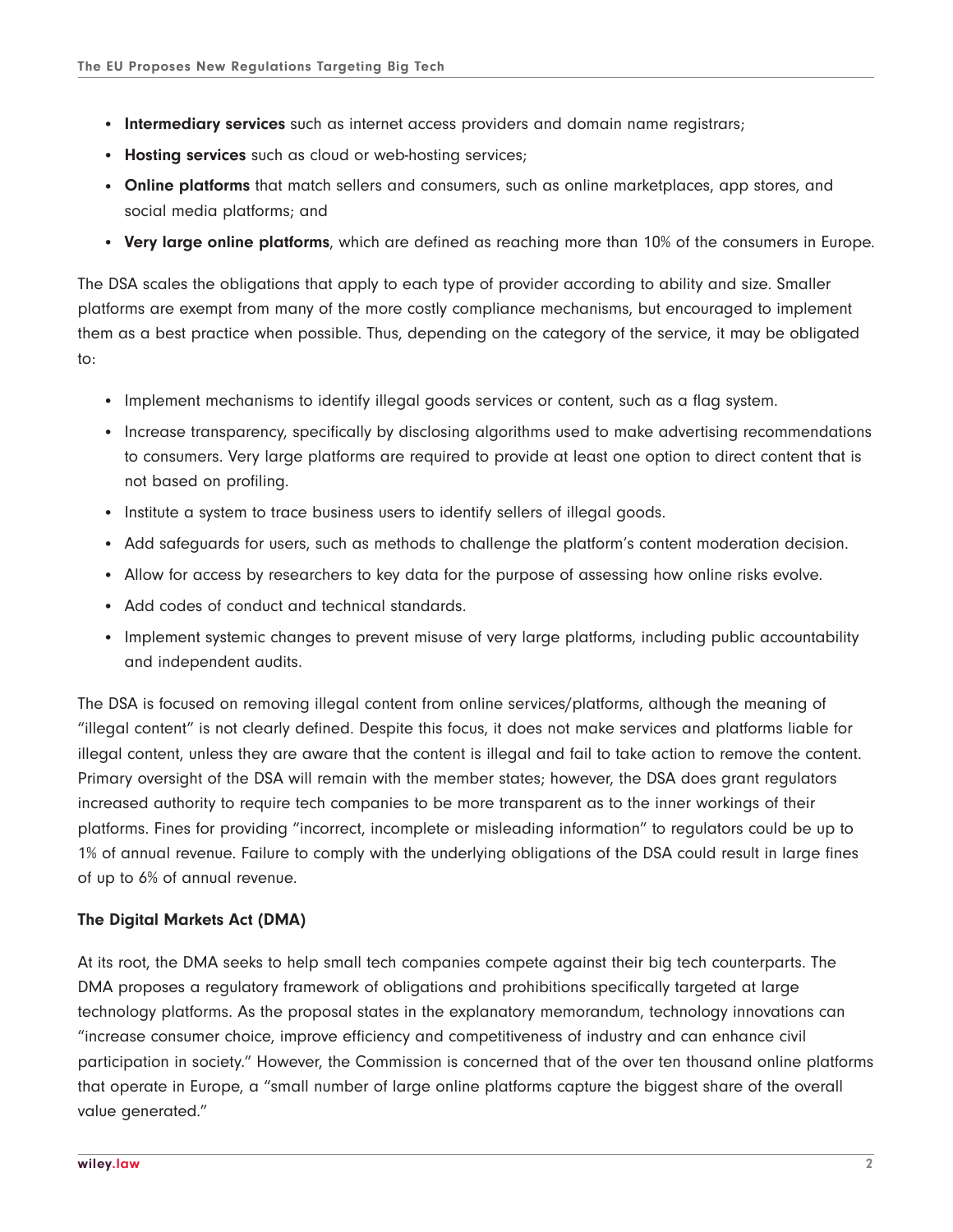- **Intermediary services** such as internet access providers and domain name registrars;
- **Hosting services** such as cloud or web-hosting services;
- **Online platforms** that match sellers and consumers, such as online marketplaces, app stores, and social media platforms; and
- **Very large online platforms**, which are defined as reaching more than 10% of the consumers in Europe.

The DSA scales the obligations that apply to each type of provider according to ability and size. Smaller platforms are exempt from many of the more costly compliance mechanisms, but encouraged to implement them as a best practice when possible. Thus, depending on the category of the service, it may be obligated to:

- Implement mechanisms to identify illegal goods services or content, such as a flag system.
- Increase transparency, specifically by disclosing algorithms used to make advertising recommendations to consumers. Very large platforms are required to provide at least one option to direct content that is not based on profiling.
- Institute a system to trace business users to identify sellers of illegal goods.
- Add safeguards for users, such as methods to challenge the platform's content moderation decision.
- Allow for access by researchers to key data for the purpose of assessing how online risks evolve.
- Add codes of conduct and technical standards.
- Implement systemic changes to prevent misuse of very large platforms, including public accountability and independent audits.

The DSA is focused on removing illegal content from online services/platforms, although the meaning of "illegal content" is not clearly defined. Despite this focus, it does not make services and platforms liable for illegal content, unless they are aware that the content is illegal and fail to take action to remove the content. Primary oversight of the DSA will remain with the member states; however, the DSA does grant regulators increased authority to require tech companies to be more transparent as to the inner workings of their platforms. Fines for providing "incorrect, incomplete or misleading information" to regulators could be up to 1% of annual revenue. Failure to comply with the underlying obligations of the DSA could result in large fines of up to 6% of annual revenue.

#### **The Digital Markets Act (DMA)**

At its root, the DMA seeks to help small tech companies compete against their big tech counterparts. The DMA proposes a regulatory framework of obligations and prohibitions specifically targeted at large technology platforms. As the proposal states in the explanatory memorandum, technology innovations can "increase consumer choice, improve efficiency and competitiveness of industry and can enhance civil participation in society." However, the Commission is concerned that of the over ten thousand online platforms that operate in Europe, a "small number of large online platforms capture the biggest share of the overall value generated."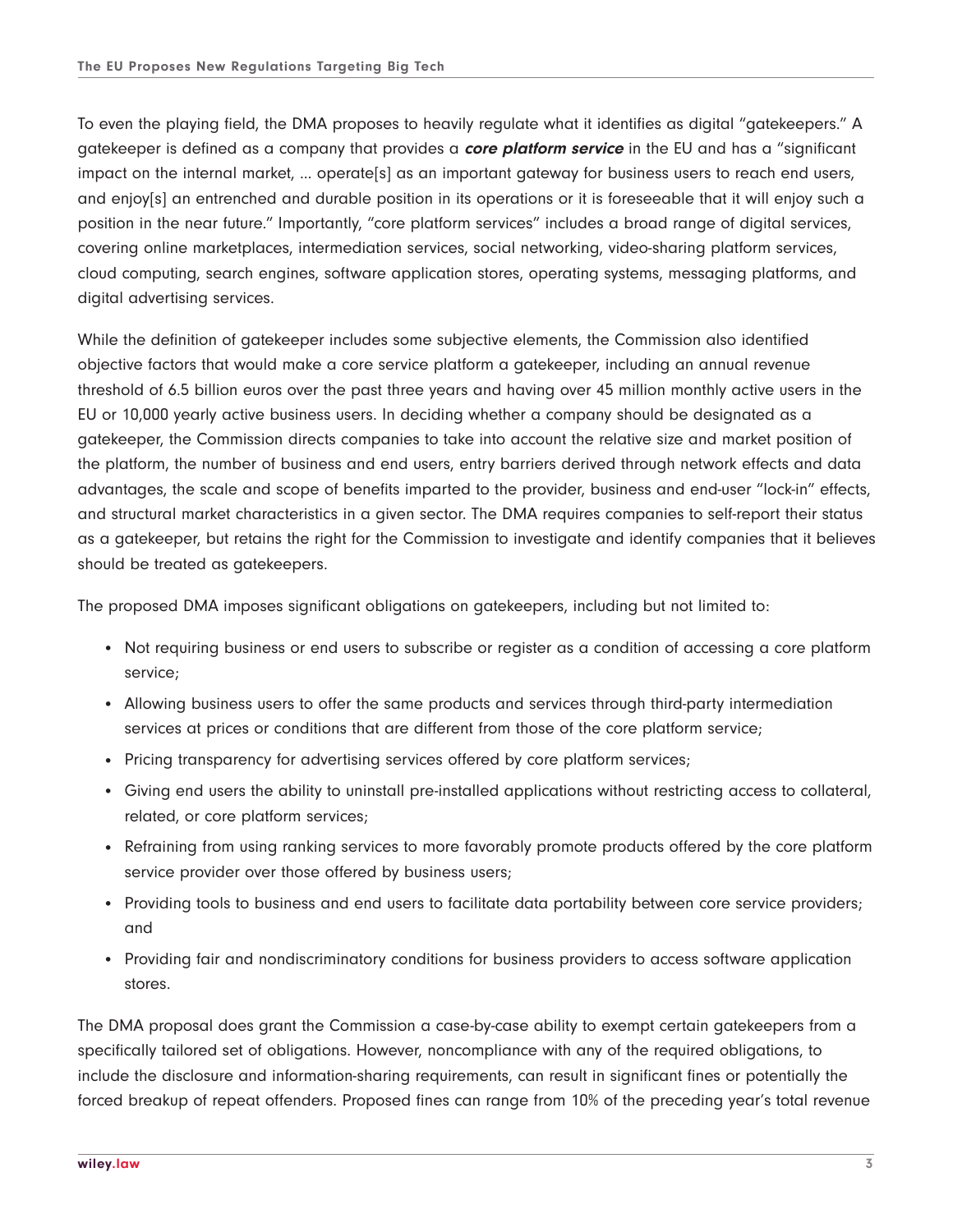To even the playing field, the DMA proposes to heavily regulate what it identifies as digital "gatekeepers." A gatekeeper is defined as a company that provides a **core platform service** in the EU and has a "significant impact on the internal market, … operate[s] as an important gateway for business users to reach end users, and enjoy[s] an entrenched and durable position in its operations or it is foreseeable that it will enjoy such a position in the near future." Importantly, "core platform services" includes a broad range of digital services, covering online marketplaces, intermediation services, social networking, video-sharing platform services, cloud computing, search engines, software application stores, operating systems, messaging platforms, and digital advertising services.

While the definition of gatekeeper includes some subjective elements, the Commission also identified objective factors that would make a core service platform a gatekeeper, including an annual revenue threshold of 6.5 billion euros over the past three years and having over 45 million monthly active users in the EU or 10,000 yearly active business users. In deciding whether a company should be designated as a gatekeeper, the Commission directs companies to take into account the relative size and market position of the platform, the number of business and end users, entry barriers derived through network effects and data advantages, the scale and scope of benefits imparted to the provider, business and end-user "lock-in" effects, and structural market characteristics in a given sector. The DMA requires companies to self-report their status as a gatekeeper, but retains the right for the Commission to investigate and identify companies that it believes should be treated as gatekeepers.

The proposed DMA imposes significant obligations on gatekeepers, including but not limited to:

- Not requiring business or end users to subscribe or register as a condition of accessing a core platform service;
- Allowing business users to offer the same products and services through third-party intermediation services at prices or conditions that are different from those of the core platform service;
- Pricing transparency for advertising services offered by core platform services;
- Giving end users the ability to uninstall pre-installed applications without restricting access to collateral, related, or core platform services;
- Refraining from using ranking services to more favorably promote products offered by the core platform service provider over those offered by business users;
- Providing tools to business and end users to facilitate data portability between core service providers; and
- Providing fair and nondiscriminatory conditions for business providers to access software application stores.

The DMA proposal does grant the Commission a case-by-case ability to exempt certain gatekeepers from a specifically tailored set of obligations. However, noncompliance with any of the required obligations, to include the disclosure and information-sharing requirements, can result in significant fines or potentially the forced breakup of repeat offenders. Proposed fines can range from 10% of the preceding year's total revenue